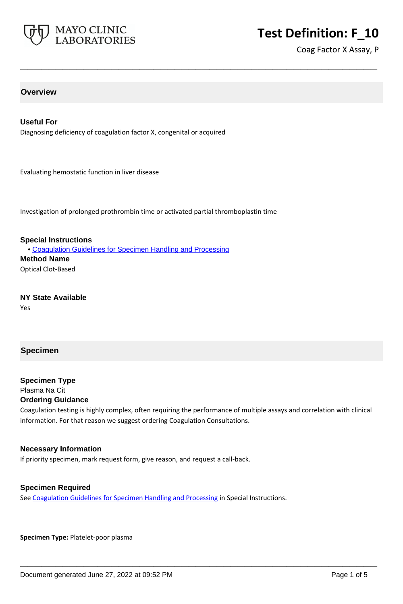

# **Test Definition: F\_10**

Coag Factor X Assay, P

### **Overview**

#### **Useful For**

Diagnosing deficiency of coagulation factor X, congenital or acquired

Evaluating hemostatic function in liver disease

Investigation of prolonged prothrombin time or activated partial thromboplastin time

**Special Instructions** • [Coagulation Guidelines for Specimen Handling and Processing](http://www.mayocliniclabs.com/it-mmfiles/Coagulation_Studies.pdf) **Method Name** Optical Clot-Based

**NY State Available** Yes

#### **Specimen**

# **Specimen Type** Plasma Na Cit

#### **Ordering Guidance**

Coagulation testing is highly complex, often requiring the performance of multiple assays and correlation with clinical information. For that reason we suggest ordering Coagulation Consultations.

**\_\_\_\_\_\_\_\_\_\_\_\_\_\_\_\_\_\_\_\_\_\_\_\_\_\_\_\_\_\_\_\_\_\_\_\_\_\_\_\_\_\_\_\_\_\_\_\_\_\_\_**

**\_\_\_\_\_\_\_\_\_\_\_\_\_\_\_\_\_\_\_\_\_\_\_\_\_\_\_\_\_\_\_\_\_\_\_\_\_\_\_\_\_\_\_\_\_\_\_\_\_\_\_**

#### **Necessary Information**

If priority specimen, mark request form, give reason, and request a call-back.

#### **Specimen Required**

See [Coagulation Guidelines for Specimen Handling and Processing](https://www.mayocliniclabs.com/it-mmfiles/Coagulation_Studies.pdf) in Special Instructions.

**Specimen Type:** Platelet-poor plasma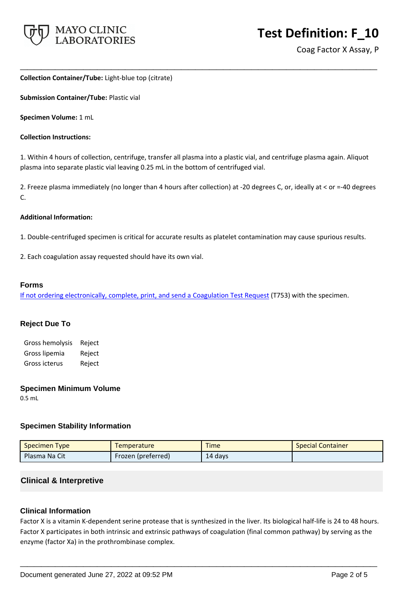

#### **Collection Container/Tube:** Light-blue top (citrate)

**Submission Container/Tube:** Plastic vial

**Specimen Volume:** 1 mL

#### **Collection Instructions:**

1. Within 4 hours of collection, centrifuge, transfer all plasma into a plastic vial, and centrifuge plasma again. Aliquot plasma into separate plastic vial leaving 0.25 mL in the bottom of centrifuged vial.

**\_\_\_\_\_\_\_\_\_\_\_\_\_\_\_\_\_\_\_\_\_\_\_\_\_\_\_\_\_\_\_\_\_\_\_\_\_\_\_\_\_\_\_\_\_\_\_\_\_\_\_**

2. Freeze plasma immediately (no longer than 4 hours after collection) at -20 degrees C, or, ideally at < or =-40 degrees C.

#### **Additional Information:**

- 1. Double-centrifuged specimen is critical for accurate results as platelet contamination may cause spurious results.
- 2. Each coagulation assay requested should have its own vial.

#### **Forms**

If not ordering electronically, complete, print, and send a [Coagulation Test Request](https://www.mayocliniclabs.com/it-mmfiles/coagulation-test-request-form.pdf) (T753) with the specimen.

#### **Reject Due To**

Gross hemolysis Reject Gross lipemia Reject Gross icterus Reject

#### **Specimen Minimum Volume**

0.5 mL

#### **Specimen Stability Information**

| Specimen Type | <b>Temperature</b> | <b>Time</b> | <b>Special Container</b> |
|---------------|--------------------|-------------|--------------------------|
| Plasma Na Cit | Frozen (preferred) | 14 days     |                          |

# **Clinical & Interpretive**

#### **Clinical Information**

Factor X is a vitamin K-dependent serine protease that is synthesized in the liver. Its biological half-life is 24 to 48 hours. Factor X participates in both intrinsic and extrinsic pathways of coagulation (final common pathway) by serving as the enzyme (factor Xa) in the prothrombinase complex.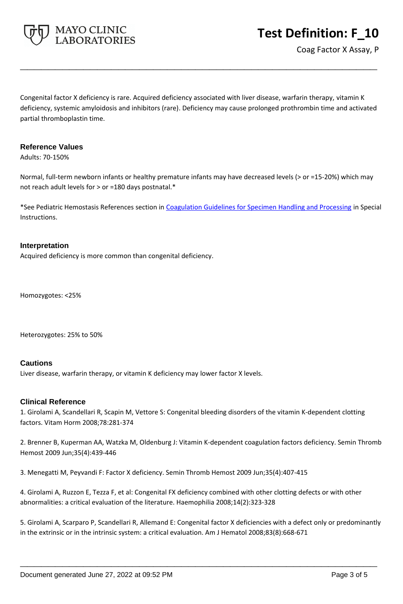

Congenital factor X deficiency is rare. Acquired deficiency associated with liver disease, warfarin therapy, vitamin K deficiency, systemic amyloidosis and inhibitors (rare). Deficiency may cause prolonged prothrombin time and activated partial thromboplastin time.

**\_\_\_\_\_\_\_\_\_\_\_\_\_\_\_\_\_\_\_\_\_\_\_\_\_\_\_\_\_\_\_\_\_\_\_\_\_\_\_\_\_\_\_\_\_\_\_\_\_\_\_**

#### **Reference Values**

Adults: 70-150%

Normal, full-term newborn infants or healthy premature infants may have decreased levels (> or =15-20%) which may not reach adult levels for > or =180 days postnatal.\*

\*See Pediatric Hemostasis References section in [Coagulation Guidelines for Specimen Handling and Processing](https://www.mayocliniclabs.com/it-mmfiles/Coagulation_Studies.pdf) in Special Instructions.

#### **Interpretation**

Acquired deficiency is more common than congenital deficiency.

Homozygotes: <25%

Heterozygotes: 25% to 50%

#### **Cautions**

Liver disease, warfarin therapy, or vitamin K deficiency may lower factor X levels.

#### **Clinical Reference**

1. Girolami A, Scandellari R, Scapin M, Vettore S: Congenital bleeding disorders of the vitamin K-dependent clotting factors. Vitam Horm 2008;78:281-374

2. Brenner B, Kuperman AA, Watzka M, Oldenburg J: Vitamin K-dependent coagulation factors deficiency. Semin Thromb Hemost 2009 Jun;35(4):439-446

3. Menegatti M, Peyvandi F: Factor X deficiency. Semin Thromb Hemost 2009 Jun;35(4):407-415

4. Girolami A, Ruzzon E, Tezza F, et al: Congenital FX deficiency combined with other clotting defects or with other abnormalities: a critical evaluation of the literature. Haemophilia 2008;14(2):323-328

5. Girolami A, Scarparo P, Scandellari R, Allemand E: Congenital factor X deficiencies with a defect only or predominantly in the extrinsic or in the intrinsic system: a critical evaluation. Am J Hematol 2008;83(8):668-671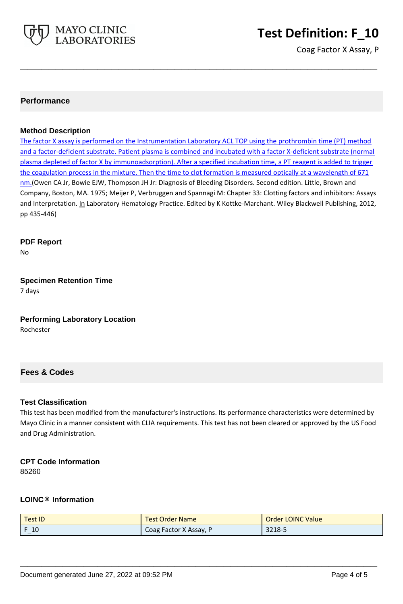

# **Test Definition: F\_10**

Coag Factor X Assay, P

## **Performance**

#### **Method Description**

The factor X assay is performed on the Instrumentation Laboratory ACL TOP using the prothrombin time (PT) method and a factor-deficient substrate. Patient plasma is combined and incubated with a factor X-deficient substrate (normal plasma depleted of factor X by immunoadsorption). After a specified incubation time, a PT reagent is added to trigger the coagulation process in the mixture. Then the time to clot formation is measured optically at a wavelength of 671 nm.(Owen CA Jr, Bowie EJW, Thompson JH Jr: Diagnosis of Bleeding Disorders. Second edition. Little, Brown and Company, Boston, MA. 1975; Meijer P, Verbruggen and Spannagi M: Chapter 33: Clotting factors and inhibitors: Assays and Interpretation. In Laboratory Hematology Practice. Edited by K Kottke-Marchant. Wiley Blackwell Publishing, 2012, pp 435-446)

**\_\_\_\_\_\_\_\_\_\_\_\_\_\_\_\_\_\_\_\_\_\_\_\_\_\_\_\_\_\_\_\_\_\_\_\_\_\_\_\_\_\_\_\_\_\_\_\_\_\_\_**

**PDF Report**

No

# **Specimen Retention Time**

7 days

#### **Performing Laboratory Location** Rochester

# **Fees & Codes**

#### **Test Classification**

This test has been modified from the manufacturer's instructions. Its performance characteristics were determined by Mayo Clinic in a manner consistent with CLIA requirements. This test has not been cleared or approved by the US Food and Drug Administration.

# **CPT Code Information**

85260

#### **LOINC® Information**

| <b>Test ID</b> | <b>Test Order Name</b> | <b>Order LOINC Value</b> |
|----------------|------------------------|--------------------------|
| 10             | Coag Factor X Assay, P | 3218-5                   |